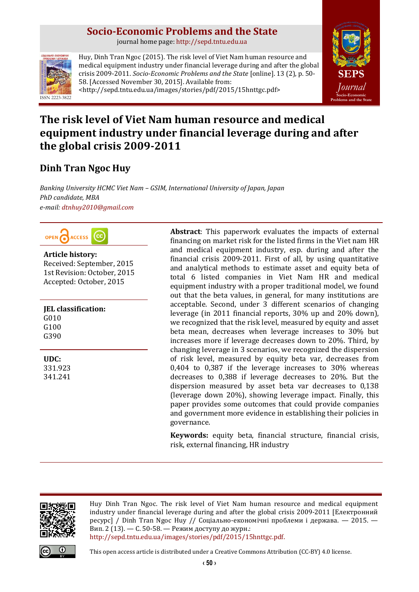# **Socio-Economic Problems and the State**

journal home page: [http://sepd.tntu.edu.ua](http://sepd.tntu.edu.ua/)



Huy, Dinh Tran Ngoc (2015). The risk level of Viet Nam human resource and medical equipment industry under financial leverage during and after the global crisis 2009-2011. *Socio-Economic Problems and the State* [online]. 13 (2), p. 50- 58. [Accessed November 30, 2015]. Available from: <http://sepd.tntu.edu.ua/images/stories/pdf/2015/15hnttgc.pdf>



# **The risk level of Viet Nam human resource and medical equipment industry under financial leverage during and after the global crisis 2009-2011**

# **Dinh Tran Ngoc Huy**

*Banking University HCMC Viet Nam – GSIM, International University of Japan, Japan PhD candidate, MBA e-mail: [dtnhuy2010@gmail.com](mailto:dtnhuy2010@gmail.com)*



# **Article history:**

Received: September, 2015 1st Revision: October, 2015 Accepted: October, 2015

**JEL classification:** G010 G100 G390

**UDC:**

331.923 341.241 **Abstract**: This paperwork evaluates the impacts of external financing on market risk for the listed firms in the Viet nam HR and medical equipment industry, esp. during and after the financial crisis 2009-2011. First of all, by using quantitative and analytical methods to estimate asset and equity beta of total 6 listed companies in Viet Nam HR and medical equipment industry with a proper traditional model, we found out that the beta values, in general, for many institutions are acceptable. Second, under 3 different scenarios of changing leverage (in 2011 financial reports, 30% up and 20% down), we recognized that the risk level, measured by equity and asset beta mean, decreases when leverage increases to 30% but increases more if leverage decreases down to 20%. Third, by changing leverage in 3 scenarios, we recognized the dispersion of risk level, measured by equity beta var, decreases from 0,404 to 0,387 if the leverage increases to 30% whereas decreases to 0,388 if leverage decreases to 20%. But the dispersion measured by asset beta var decreases to 0,138 (leverage down 20%), showing leverage impact. Finally, this paper provides some outcomes that could provide companies and government more evidence in establishing their policies in governance.

**Keywords:** equity beta, financial structure, financial crisis, risk, external financing, HR industry



Huy Dinh Tran Ngoc. The risk level of Viet Nam human resource and medical equipment industry under financial leverage during and after the global crisis 2009-2011 [Електронний ресурс] / Dinh Tran Ngoc Huy // Соціально-економічні проблеми і держава. — 2015. — Вип. 2 (13). — С. 50-58. — Режим доступу до журн.: [http://sepd.tntu.edu.ua/images/stories/pdf/2015/15hnttgc.pdf.](http://sepd.tntu.edu.ua/images/stories/pdf/2015/15hnttgc.pdf)

This open access article is distributed under [a Creative Commons Attribution \(CC-BY\) 4.0 license.](http://creativecommons.org/licenses/by/4.0/)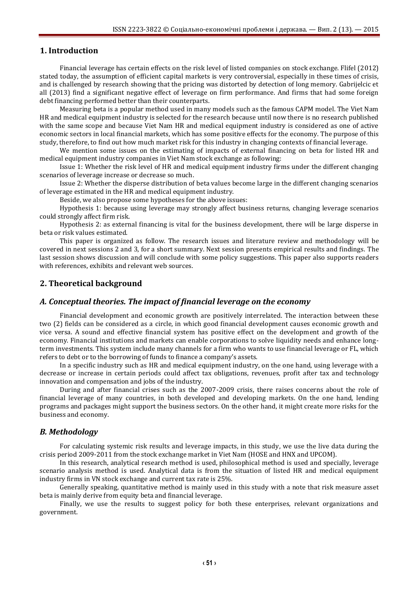## **1. Introduction**

Financial leverage has certain effects on the risk level of listed companies on stock exchange. Flifel (2012) stated today, the assumption of efficient capital markets is very controversial, especially in these times of crisis, and is challenged by research showing that the pricing was distorted by detection of long memory. Gabrijelcic et all (2013) find a significant negative effect of leverage on firm performance. And firms that had some foreign debt financing performed better than their counterparts.

Measuring beta is a popular method used in many models such as the famous CAPM model. The Viet Nam HR and medical equipment industry is selected for the research because until now there is no research published with the same scope and because Viet Nam HR and medical equipment industry is considered as one of active economic sectors in local financial markets, which has some positive effects for the economy. The purpose of this study, therefore, to find out how much market risk for this industry in changing contexts of financial leverage.

We mention some issues on the estimating of impacts of external financing on beta for listed HR and medical equipment industry companies in Viet Nam stock exchange as following:

Issue 1: Whether the risk level of HR and medical equipment industry firms under the different changing scenarios of leverage increase or decrease so much.

Issue 2: Whether the disperse distribution of beta values become large in the different changing scenarios of leverage estimated in the HR and medical equipment industry.

Beside, we also propose some hypotheses for the above issues:

Hypothesis 1: because using leverage may strongly affect business returns, changing leverage scenarios could strongly affect firm risk.

Hypothesis 2: as external financing is vital for the business development, there will be large disperse in beta or risk values estimated.

This paper is organized as follow. The research issues and literature review and methodology will be covered in next sessions 2 and 3, for a short summary. Next session presents empirical results and findings. The last session shows discussion and will conclude with some policy suggestions. This paper also supports readers with references, exhibits and relevant web sources.

#### **2. Theoretical background**

#### *A. Conceptual theories. The impact of financial leverage on the economy*

Financial development and economic growth are positively interrelated. The interaction between these two (2) fields can be considered as a circle, in which good financial development causes economic growth and vice versa. A sound and effective financial system has positive effect on the development and growth of the economy. Financial institutions and markets can enable corporations to solve liquidity needs and enhance longterm investments. This system include many channels for a firm who wants to use financial leverage or FL, which refers to debt or to the borrowing of funds to finance a company's assets.

In a specific industry such as HR and medical equipment industry, on the one hand, using leverage with a decrease or increase in certain periods could affect tax obligations, revenues, profit after tax and technology innovation and compensation and jobs of the industry.

During and after financial crises such as the 2007-2009 crisis, there raises concerns about the role of financial leverage of many countries, in both developed and developing markets. On the one hand, lending programs and packages might support the business sectors. On the other hand, it might create more risks for the business and economy.

#### *B. Methodology*

For calculating systemic risk results and leverage impacts, in this study, we use the live data during the crisis period 2009-2011 from the stock exchange market in Viet Nam (HOSE and HNX and UPCOM).

In this research, analytical research method is used, philosophical method is used and specially, leverage scenario analysis method is used. Analytical data is from the situation of listed HR and medical equipment industry firms in VN stock exchange and current tax rate is 25%.

Generally speaking, quantitative method is mainly used in this study with a note that risk measure asset beta is mainly derive from equity beta and financial leverage.

Finally, we use the results to suggest policy for both these enterprises, relevant organizations and government.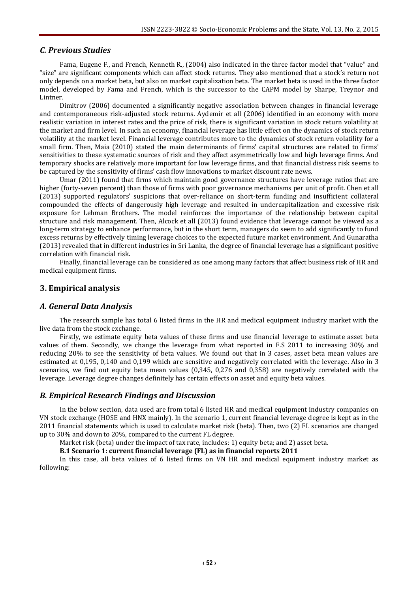## *C. Previous Studies*

Fama, Eugene F., and French, Kenneth R., (2004) also indicated in the three factor model that "value" and "size" are significant components which can affect stock returns. They also mentioned that a stock's return not only depends on a market beta, but also on market capitalization beta. The market beta is used in the three factor model, developed by Fama and French, which is the successor to the CAPM model by Sharpe, Treynor and Lintner.

Dimitrov (2006) documented a significantly negative association between changes in financial leverage and contemporaneous risk-adjusted stock returns. Aydemir et all (2006) identified in an economy with more realistic variation in interest rates and the price of risk, there is significant variation in stock return volatility at the market and firm level. In such an economy, financial leverage has little effect on the dynamics of stock return volatility at the market level. Financial leverage contributes more to the dynamics of stock return volatility for a small firm. Then, Maia (2010) stated the main determinants of firms' capital structures are related to firms' sensitivities to these systematic sources of risk and they affect asymmetrically low and high leverage firms. And temporary shocks are relatively more important for low leverage firms, and that financial distress risk seems to be captured by the sensitivity of firms' cash flow innovations to market discount rate news.

Umar (2011) found that firms which maintain good governance structures have leverage ratios that are higher (forty-seven percent) than those of firms with poor governance mechanisms per unit of profit. Chen et all (2013) supported regulators' suspicions that over-reliance on short-term funding and insufficient collateral compounded the effects of dangerously high leverage and resulted in undercapitalization and excessive risk exposure for Lehman Brothers. The model reinforces the importance of the relationship between capital structure and risk management. Then, Alcock et all (2013) found evidence that leverage cannot be viewed as a long-term strategy to enhance performance, but in the short term, managers do seem to add significantly to fund excess returns by effectively timing leverage choices to the expected future market environment. And Gunaratha (2013) revealed that in different industries in Sri Lanka, the degree of financial leverage has a significant positive correlation with financial risk.

Finally, financial leverage can be considered as one among many factors that affect business risk of HR and medical equipment firms.

## **3. Empirical analysis**

#### *A. General Data Analysis*

The research sample has total 6 listed firms in the HR and medical equipment industry market with the live data from the stock exchange.

Firstly, we estimate equity beta values of these firms and use financial leverage to estimate asset beta values of them. Secondly, we change the leverage from what reported in F.S 2011 to increasing 30% and reducing 20% to see the sensitivity of beta values. We found out that in 3 cases, asset beta mean values are estimated at 0,195, 0,140 and 0,199 which are sensitive and negatively correlated with the leverage. Also in 3 scenarios, we find out equity beta mean values (0,345, 0,276 and 0,358) are negatively correlated with the leverage. Leverage degree changes definitely has certain effects on asset and equity beta values.

### *B. Empirical Research Findings and Discussion*

In the below section, data used are from total 6 listed HR and medical equipment industry companies on VN stock exchange (HOSE and HNX mainly). In the scenario 1, current financial leverage degree is kept as in the 2011 financial statements which is used to calculate market risk (beta). Then, two (2) FL scenarios are changed up to 30% and down to 20%, compared to the current FL degree.

Market risk (beta) under the impact of tax rate, includes: 1) equity beta; and 2) asset beta.

**B.1 Scenario 1: current financial leverage (FL) as in financial reports 2011**

In this case, all beta values of 6 listed firms on VN HR and medical equipment industry market as following: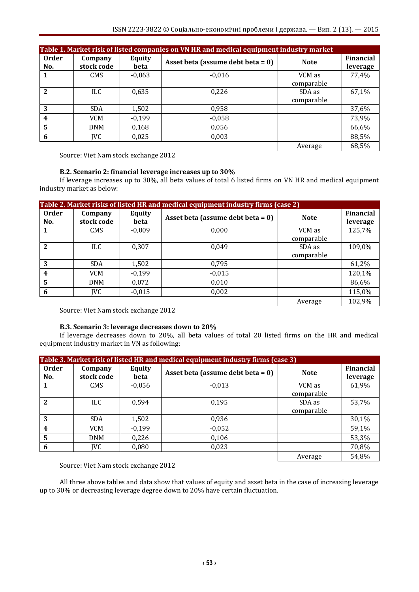| Table 1. Market risk of listed companies on VN HR and medical equipment industry market |                       |                |                                      |                      |                              |  |  |
|-----------------------------------------------------------------------------------------|-----------------------|----------------|--------------------------------------|----------------------|------------------------------|--|--|
| <b>Order</b><br>No.                                                                     | Company<br>stock code | Equity<br>beta | Asset beta (assume debt beta = $0$ ) | <b>Note</b>          | <b>Financial</b><br>leverage |  |  |
|                                                                                         | <b>CMS</b>            | $-0,063$       | $-0,016$                             | VCM as<br>comparable | 77,4%                        |  |  |
| $\overline{2}$                                                                          | ILC.                  | 0,635          | 0,226                                | SDA as<br>comparable | 67,1%                        |  |  |
| 3                                                                                       | <b>SDA</b>            | 1,502          | 0,958                                |                      | 37,6%                        |  |  |
| $\boldsymbol{4}$                                                                        | <b>VCM</b>            | $-0.199$       | $-0,058$                             |                      | 73,9%                        |  |  |
| 5                                                                                       | <b>DNM</b>            | 0,168          | 0,056                                |                      | 66,6%                        |  |  |
| 6                                                                                       | <b>IVC</b>            | 0,025          | 0,003                                |                      | 88,5%                        |  |  |
|                                                                                         |                       |                |                                      | Average              | 68,5%                        |  |  |

Source: Viet Nam stock exchange 2012

### **B.2. Scenario 2: financial leverage increases up to 30%**

If leverage increases up to 30%, all beta values of total 6 listed firms on VN HR and medical equipment industry market as below:

| Table 2. Market risks of listed HR and medical equipment industry firms (case 2) |                       |                       |                                      |                      |                              |  |
|----------------------------------------------------------------------------------|-----------------------|-----------------------|--------------------------------------|----------------------|------------------------------|--|
| Order<br>No.                                                                     | Company<br>stock code | <b>Equity</b><br>beta | Asset beta (assume debt beta = $0$ ) | <b>Note</b>          | <b>Financial</b><br>leverage |  |
|                                                                                  | <b>CMS</b>            | $-0,009$              | 0,000                                | VCM as<br>comparable | 125,7%                       |  |
| $\overline{2}$                                                                   | ILC.                  | 0,307                 | 0.049                                | SDA as<br>comparable | 109,0%                       |  |
| 3                                                                                | <b>SDA</b>            | 1,502                 | 0,795                                |                      | 61,2%                        |  |
| $\boldsymbol{4}$                                                                 | VCM                   | $-0,199$              | $-0,015$                             |                      | 120,1%                       |  |
| 5                                                                                | <b>DNM</b>            | 0,072                 | 0,010                                |                      | 86,6%                        |  |
| 6                                                                                | <b>IVC</b>            | $-0,015$              | 0,002                                |                      | 115,0%                       |  |
|                                                                                  |                       |                       |                                      | Average              | 102,9%                       |  |

Source: Viet Nam stock exchange 2012

## **B.3. Scenario 3: leverage decreases down to 20%**

If leverage decreases down to 20%, all beta values of total 20 listed firms on the HR and medical equipment industry market in VN as following:

| Table 3. Market risk of listed HR and medical equipment industry firms (case 3) |                       |                |                                      |                      |                              |  |
|---------------------------------------------------------------------------------|-----------------------|----------------|--------------------------------------|----------------------|------------------------------|--|
| <b>Order</b><br>No.                                                             | Company<br>stock code | Equity<br>beta | Asset beta (assume debt beta = $0$ ) | <b>Note</b>          | <b>Financial</b><br>leverage |  |
| 1                                                                               | <b>CMS</b>            | $-0,056$       | $-0,013$                             | VCM as<br>comparable | 61,9%                        |  |
| $\mathbf{2}$                                                                    | <b>ILC</b>            | 0.594          | 0.195                                | SDA as<br>comparable | 53,7%                        |  |
| 3                                                                               | <b>SDA</b>            | 1,502          | 0,936                                |                      | 30,1%                        |  |
| 4                                                                               | <b>VCM</b>            | $-0,199$       | $-0,052$                             |                      | 59,1%                        |  |
| 5                                                                               | <b>DNM</b>            | 0,226          | 0,106                                |                      | 53,3%                        |  |
| 6                                                                               | IVC                   | 0,080          | 0,023                                |                      | 70,8%                        |  |
|                                                                                 |                       |                |                                      | Average              | 54,8%                        |  |

Source: Viet Nam stock exchange 2012

All three above tables and data show that values of equity and asset beta in the case of increasing leverage up to 30% or decreasing leverage degree down to 20% have certain fluctuation.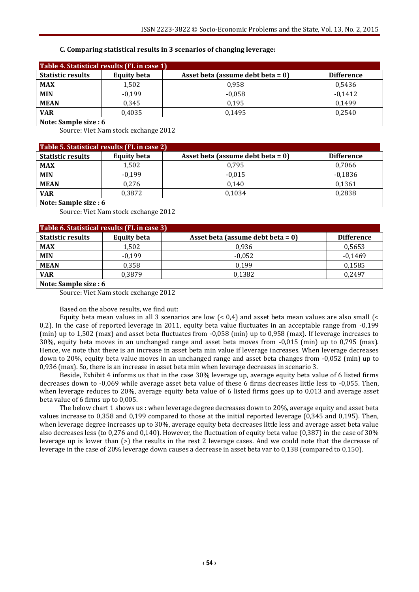## **C. Comparing statistical results in 3 scenarios of changing leverage:**

| Table 4. Statistical results (FL in case 1) |                    |                                      |                   |  |  |  |
|---------------------------------------------|--------------------|--------------------------------------|-------------------|--|--|--|
| <b>Statistic results</b>                    | <b>Equity beta</b> | Asset beta (assume debt beta = $0$ ) | <b>Difference</b> |  |  |  |
| <b>MAX</b>                                  | 1,502              | 0.958                                | 0,5436            |  |  |  |
| <b>MIN</b>                                  | $-0.199$           | $-0.058$                             | $-0.1412$         |  |  |  |
| <b>MEAN</b>                                 | 0.345              | 0.195                                | 0.1499            |  |  |  |
| <b>VAR</b>                                  | 0,4035             | 0.1495                               | 0.2540            |  |  |  |
| $\cdots$ $\cdots$                           |                    |                                      |                   |  |  |  |

**Note: Sample size : 6**

Source: Viet Nam stock exchange 2012

| Table 5. Statistical results (FL in case 2) |                    |                                      |                   |  |  |  |
|---------------------------------------------|--------------------|--------------------------------------|-------------------|--|--|--|
| <b>Statistic results</b>                    | <b>Equity beta</b> | Asset beta (assume debt beta = $0$ ) | <b>Difference</b> |  |  |  |
| <b>MAX</b>                                  | 1,502              | 0.795                                | 0,7066            |  |  |  |
| <b>MIN</b>                                  | $-0.199$           | $-0.015$                             | $-0,1836$         |  |  |  |
| <b>MEAN</b>                                 | 0.276              | 0.140                                | 0,1361            |  |  |  |
| VAR                                         | 0.3872             | 0.1034                               | 0.2838            |  |  |  |
| Noto: Sample size : 6                       |                    |                                      |                   |  |  |  |

**Note: Sample size : 6**

Source: Viet Nam stock exchange 2012

| Table 6. Statistical results (FL in case 3) |                    |                                      |                   |  |  |  |
|---------------------------------------------|--------------------|--------------------------------------|-------------------|--|--|--|
| <b>Statistic results</b>                    | <b>Equity beta</b> | Asset beta (assume debt beta = $0$ ) | <b>Difference</b> |  |  |  |
| <b>MAX</b>                                  | 1.502              | 0.936                                | 0,5653            |  |  |  |
| <b>MIN</b>                                  | $-0.199$           | $-0.052$                             | $-0.1469$         |  |  |  |
| <b>MEAN</b>                                 | 0.358              | 0.199                                | 0,1585            |  |  |  |
| <b>VAR</b>                                  | 0.3879             | 0,1382                               | 0.2497            |  |  |  |
| .                                           |                    |                                      |                   |  |  |  |

**Note: Sample size : 6**

Source: Viet Nam stock exchange 2012

#### Based on the above results, we find out:

Equity beta mean values in all 3 scenarios are low  $( $0.4$ ) and asset beta mean values are also small  $( $0.4$ )$$ 0,2). In the case of reported leverage in 2011, equity beta value fluctuates in an acceptable range from -0,199 (min) up to 1,502 (max) and asset beta fluctuates from -0,058 (min) up to 0,958 (max). If leverage increases to 30%, equity beta moves in an unchanged range and asset beta moves from -0,015 (min) up to 0,795 (max). Hence, we note that there is an increase in asset beta min value if leverage increases. When leverage decreases down to 20%, equity beta value moves in an unchanged range and asset beta changes from -0,052 (min) up to 0,936 (max). So, there is an increase in asset beta min when leverage decreases in scenario 3.

Beside, Exhibit 4 informs us that in the case 30% leverage up, average equity beta value of 6 listed firms decreases down to -0,069 while average asset beta value of these 6 firms decreases little less to -0,055. Then, when leverage reduces to 20%, average equity beta value of 6 listed firms goes up to 0,013 and average asset beta value of 6 firms up to 0,005.

The below chart 1 shows us : when leverage degree decreases down to 20%, average equity and asset beta values increase to 0,358 and 0,199 compared to those at the initial reported leverage (0,345 and 0,195). Then, when leverage degree increases up to 30%, average equity beta decreases little less and average asset beta value also decreases less (to 0,276 and 0,140). However, the fluctuation of equity beta value (0,387) in the case of 30% leverage up is lower than (>) the results in the rest 2 leverage cases. And we could note that the decrease of leverage in the case of 20% leverage down causes a decrease in asset beta var to 0,138 (compared to 0,150).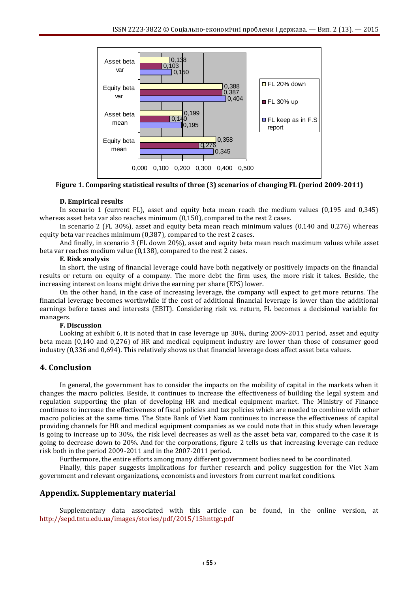

**Figure 1. Comparing statistical results of three (3) scenarios of changing FL (period 2009-2011)**

### **D. Empirical results**

In scenario 1 (current FL), asset and equity beta mean reach the medium values (0,195 and 0,345) whereas asset beta var also reaches minimum (0,150), compared to the rest 2 cases.

In scenario 2 (FL 30%), asset and equity beta mean reach minimum values (0,140 and 0,276) whereas equity beta var reaches minimum (0,387), compared to the rest 2 cases.

And finally, in scenario 3 (FL down 20%), asset and equity beta mean reach maximum values while asset beta var reaches medium value (0,138), compared to the rest 2 cases.

#### **E. Risk analysis**

In short, the using of financial leverage could have both negatively or positively impacts on the financial results or return on equity of a company. The more debt the firm uses, the more risk it takes. Beside, the increasing interest on loans might drive the earning per share (EPS) lower.

On the other hand, in the case of increasing leverage, the company will expect to get more returns. The financial leverage becomes worthwhile if the cost of additional financial leverage is lower than the additional earnings before taxes and interests (EBIT). Considering risk vs. return, FL becomes a decisional variable for managers.

#### **F. Discussion**

Looking at exhibit 6, it is noted that in case leverage up 30%, during 2009-2011 period, asset and equity beta mean (0,140 and 0,276) of HR and medical equipment industry are lower than those of consumer good industry (0,336 and 0,694). This relatively shows us that financial leverage does affect asset beta values.

## **4. Conclusion**

In general, the government has to consider the impacts on the mobility of capital in the markets when it changes the macro policies. Beside, it continues to increase the effectiveness of building the legal system and regulation supporting the plan of developing HR and medical equipment market. The Ministry of Finance continues to increase the effectiveness of fiscal policies and tax policies which are needed to combine with other macro policies at the same time. The State Bank of Viet Nam continues to increase the effectiveness of capital providing channels for HR and medical equipment companies as we could note that in this study when leverage is going to increase up to 30%, the risk level decreases as well as the asset beta var, compared to the case it is going to decrease down to 20%. And for the corporations, figure 2 tells us that increasing leverage can reduce risk both in the period 2009-2011 and in the 2007-2011 period.

Furthermore, the entire efforts among many different government bodies need to be coordinated.

Finally, this paper suggests implications for further research and policy suggestion for the Viet Nam government and relevant organizations, economists and investors from current market conditions.

## **Appendix. Supplementary material**

Supplementary data associated with this article can be found, in the online version, at <http://sepd.tntu.edu.ua/images/stories/pdf/2015/15hnttgc.pdf>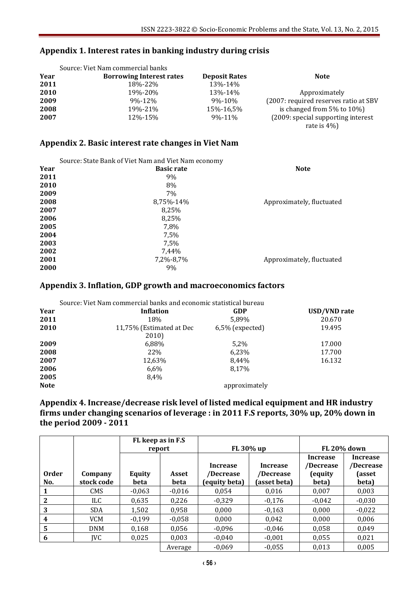# **Appendix 1. Interest rates in banking industry during crisis**

|      | Source: Viet Nam commercial banks |                      |                                       |
|------|-----------------------------------|----------------------|---------------------------------------|
| Year | <b>Borrowing Interest rates</b>   | <b>Deposit Rates</b> | <b>Note</b>                           |
| 2011 | 18%-22%                           | 13%-14%              |                                       |
| 2010 | 19%-20%                           | 13%-14%              | Approximately                         |
| 2009 | $9\% - 12\%$                      | $9\% - 10\%$         | (2007: required reserves ratio at SBV |
| 2008 | 19%-21%                           | 15%-16.5%            | is changed from $5\%$ to $10\%$ )     |
| 2007 | 12%-15%                           | 9%-11%               | (2009: special supporting interest)   |
|      |                                   |                      | rate is $4\%$ )                       |

# **Appendix 2. Basic interest rate changes in Viet Nam**

|      | Source: State Bank of Viet Nam and Viet Nam economy |                           |
|------|-----------------------------------------------------|---------------------------|
| Year | <b>Basic rate</b>                                   | <b>Note</b>               |
| 2011 | 9%                                                  |                           |
| 2010 | 8%                                                  |                           |
| 2009 | 7%                                                  |                           |
| 2008 | 8,75%-14%                                           | Approximately, fluctuated |
| 2007 | 8,25%                                               |                           |
| 2006 | 8,25%                                               |                           |
| 2005 | 7,8%                                                |                           |
| 2004 | 7.5%                                                |                           |
| 2003 | 7,5%                                                |                           |
| 2002 | 7,44%                                               |                           |
| 2001 | 7,2%-8,7%                                           | Approximately, fluctuated |
| 2000 | 9%                                                  |                           |

# **Appendix 3. Inflation, GDP growth and macroeconomics factors**

|             | Source: Viet Nam commercial banks and economic statistical bureau |                    |                     |  |  |  |  |
|-------------|-------------------------------------------------------------------|--------------------|---------------------|--|--|--|--|
| Year        | Inflation                                                         | <b>GDP</b>         | <b>USD/VND</b> rate |  |  |  |  |
| 2011        | 18%                                                               | 5,89%              | 20.670              |  |  |  |  |
| 2010        | 11,75% (Estimated at Dec                                          | $6,5\%$ (expected) | 19.495              |  |  |  |  |
|             | 2010)                                                             |                    |                     |  |  |  |  |
| 2009        | 6,88%                                                             | 5.2%               | 17.000              |  |  |  |  |
| 2008        | 22%                                                               | 6,23%              | 17.700              |  |  |  |  |
| 2007        | 12,63%                                                            | 8.44%              | 16.132              |  |  |  |  |
| 2006        | 6,6%                                                              | 8.17%              |                     |  |  |  |  |
| 2005        | 8.4%                                                              |                    |                     |  |  |  |  |
| <b>Note</b> |                                                                   | approximately      |                     |  |  |  |  |

# **Appendix 4. Increase/decrease risk level of listed medical equipment and HR industry firms under changing scenarios of leverage : in 2011 F.S reports, 30% up, 20% down in the period 2009 - 2011**

|              |                       | FL keep as in F.S. |               |                                        |                                       |                                                  |                                          |
|--------------|-----------------------|--------------------|---------------|----------------------------------------|---------------------------------------|--------------------------------------------------|------------------------------------------|
|              |                       | report             |               | FL 30% up                              |                                       | <b>FL 20% down</b>                               |                                          |
| Order<br>No. | Company<br>stock code | Equity<br>beta     | Asset<br>beta | Increase<br>/Decrease<br>(equity beta) | Increase<br>/Decrease<br>(asset beta) | <b>Increase</b><br>/Decrease<br>(equity<br>beta) | Increase<br>/Decrease<br>(asset<br>beta) |
|              | <b>CMS</b>            | $-0,063$           | $-0,016$      | 0.054                                  | 0.016                                 | 0.007                                            | 0,003                                    |
| 2            | ILC.                  | 0.635              | 0.226         | $-0.329$                               | $-0.176$                              | $-0,042$                                         | $-0,030$                                 |
| 3            | <b>SDA</b>            | 1.502              | 0.958         | 0.000                                  | $-0,163$                              | 0.000                                            | $-0,022$                                 |
| 4            | <b>VCM</b>            | $-0.199$           | $-0,058$      | 0.000                                  | 0.042                                 | 0.000                                            | 0,006                                    |
| 5            | <b>DNM</b>            | 0.168              | 0,056         | $-0.096$                               | $-0.046$                              | 0,058                                            | 0,049                                    |
| 6            | IVC                   | 0.025              | 0,003         | $-0.040$                               | $-0.001$                              | 0.055                                            | 0,021                                    |
|              |                       |                    | Average       | $-0.069$                               | $-0,055$                              | 0.013                                            | 0,005                                    |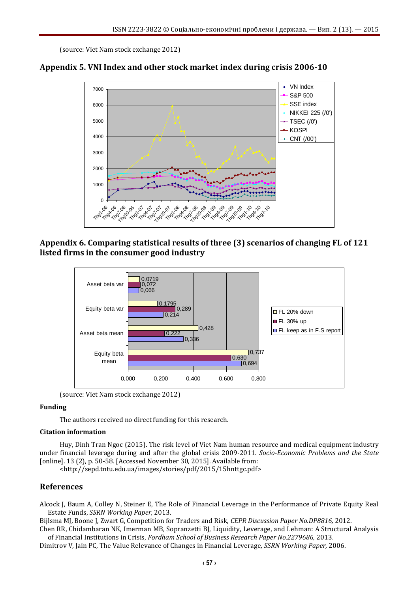(source: Viet Nam stock exchange 2012)





# **Appendix 6. Comparing statistical results of three (3) scenarios of changing FL of 121 listed firms in the consumer good industry**



(source: Viet Nam stock exchange 2012)

# **Funding**

The authors received no direct funding for this research.

## **Citation information**

Huy, Dinh Tran Ngoc (2015). The risk level of Viet Nam human resource and medical equipment industry under financial leverage during and after the global crisis 2009-2011. *Socio-Economic Problems and the State* [online]. 13 (2), p. 50-58. [Accessed November 30, 2015]. Available from:

<http://sepd.tntu.edu.ua/images/stories/pdf/2015/15hnttgc.pdf>

# **References**

Alcock J, Baum A, Colley N, Steiner E, The Role of Financial Leverage in the Performance of Private Equity Real Estate Funds, *SSRN Working Paper,* 2013.

Bijlsma MJ, Boone J, Zwart G, Competition for Traders and Risk, *CEPR Discussion Paper No.DP8816,* 2012.

Chen RR, Chidambaran NK, Imerman MB, Sopranzetti BJ, Liquidity, Leverage, and Lehman: A Structural Analysis of Financial Institutions in Crisis, *Fordham School of Business Research Paper No.2279686,* 2013.

Dimitrov V, Jain PC, The Value Relevance of Changes in Financial Leverage*, SSRN Working Paper,* 2006.